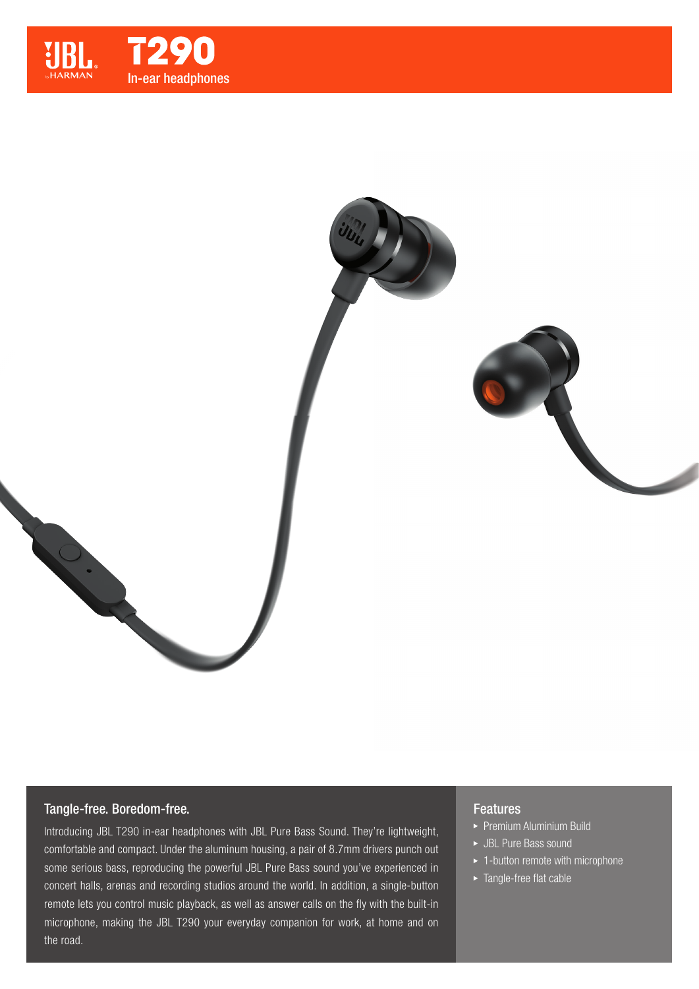



# Tangle-free. Boredom-free.

Introducing JBL T290 in-ear headphones with JBL Pure Bass Sound. They're lightweight, comfortable and compact. Under the aluminum housing, a pair of 8.7mm drivers punch out some serious bass, reproducing the powerful JBL Pure Bass sound you've experienced in concert halls, arenas and recording studios around the world. In addition, a single-button remote lets you control music playback, as well as answer calls on the fly with the built-in microphone, making the JBL T290 your everyday companion for work, at home and on the road.

# Features

- **Premium Aluminium Build**
- JBL Pure Bass sound
- $\blacktriangleright$  1-button remote with microphone
- ▶ Tangle-free flat cable